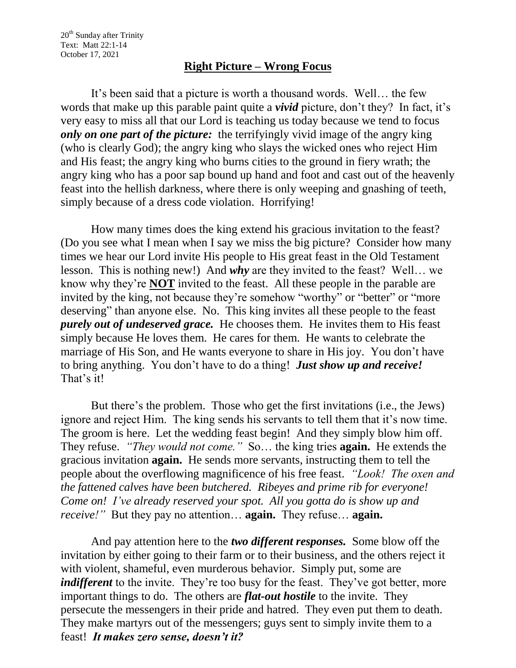## **Right Picture – Wrong Focus**

It's been said that a picture is worth a thousand words. Well… the few words that make up this parable paint quite a *vivid* picture, don't they? In fact, it's very easy to miss all that our Lord is teaching us today because we tend to focus *only on one part of the picture:* the terrifyingly vivid image of the angry king (who is clearly God); the angry king who slays the wicked ones who reject Him and His feast; the angry king who burns cities to the ground in fiery wrath; the angry king who has a poor sap bound up hand and foot and cast out of the heavenly feast into the hellish darkness, where there is only weeping and gnashing of teeth, simply because of a dress code violation. Horrifying!

How many times does the king extend his gracious invitation to the feast? (Do you see what I mean when I say we miss the big picture? Consider how many times we hear our Lord invite His people to His great feast in the Old Testament lesson. This is nothing new!) And *why* are they invited to the feast? Well… we know why they're **NOT** invited to the feast. All these people in the parable are invited by the king, not because they're somehow "worthy" or "better" or "more deserving" than anyone else. No. This king invites all these people to the feast *purely out of undeserved grace.* He chooses them. He invites them to His feast simply because He loves them. He cares for them. He wants to celebrate the marriage of His Son, and He wants everyone to share in His joy. You don't have to bring anything. You don't have to do a thing! *Just show up and receive!* That's it!

But there's the problem. Those who get the first invitations (i.e., the Jews) ignore and reject Him. The king sends his servants to tell them that it's now time. The groom is here. Let the wedding feast begin! And they simply blow him off. They refuse. *"They would not come."* So… the king tries **again.** He extends the gracious invitation **again.** He sends more servants, instructing them to tell the people about the overflowing magnificence of his free feast. *"Look! The oxen and the fattened calves have been butchered. Ribeyes and prime rib for everyone! Come on! I've already reserved your spot. All you gotta do is show up and receive!"* But they pay no attention… **again.** They refuse… **again.**

And pay attention here to the *two different responses.* Some blow off the invitation by either going to their farm or to their business, and the others reject it with violent, shameful, even murderous behavior. Simply put, some are *indifferent* to the invite. They're too busy for the feast. They've got better, more important things to do. The others are *flat-out hostile* to the invite. They persecute the messengers in their pride and hatred. They even put them to death. They make martyrs out of the messengers; guys sent to simply invite them to a feast! *It makes zero sense, doesn't it?*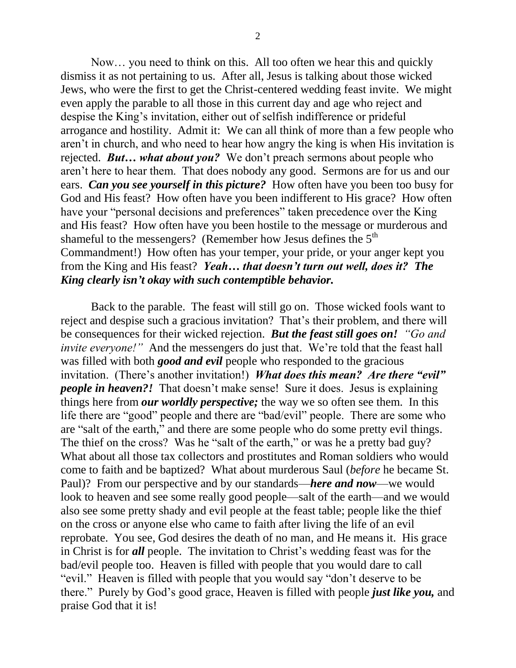Now… you need to think on this. All too often we hear this and quickly dismiss it as not pertaining to us. After all, Jesus is talking about those wicked Jews, who were the first to get the Christ-centered wedding feast invite. We might even apply the parable to all those in this current day and age who reject and despise the King's invitation, either out of selfish indifference or prideful arrogance and hostility. Admit it: We can all think of more than a few people who aren't in church, and who need to hear how angry the king is when His invitation is rejected. *But… what about you?* We don't preach sermons about people who aren't here to hear them. That does nobody any good. Sermons are for us and our ears. *Can you see yourself in this picture?* How often have you been too busy for God and His feast? How often have you been indifferent to His grace? How often have your "personal decisions and preferences" taken precedence over the King and His feast? How often have you been hostile to the message or murderous and shameful to the messengers? (Remember how Jesus defines the  $5<sup>th</sup>$ Commandment!) How often has your temper, your pride, or your anger kept you from the King and His feast? *Yeah… that doesn't turn out well, does it? The King clearly isn't okay with such contemptible behavior.*

Back to the parable. The feast will still go on. Those wicked fools want to reject and despise such a gracious invitation? That's their problem, and there will be consequences for their wicked rejection. *But the feast still goes on! "Go and invite everyone!*" And the messengers do just that. We're told that the feast hall was filled with both *good and evil* people who responded to the gracious invitation. (There's another invitation!) *What does this mean? Are there "evil" people in heaven?!* That doesn't make sense! Sure it does. Jesus is explaining things here from *our worldly perspective;* the way we so often see them. In this life there are "good" people and there are "bad/evil" people. There are some who are "salt of the earth," and there are some people who do some pretty evil things. The thief on the cross? Was he "salt of the earth," or was he a pretty bad guy? What about all those tax collectors and prostitutes and Roman soldiers who would come to faith and be baptized? What about murderous Saul (*before* he became St. Paul)? From our perspective and by our standards—*here and now*—we would look to heaven and see some really good people—salt of the earth—and we would also see some pretty shady and evil people at the feast table; people like the thief on the cross or anyone else who came to faith after living the life of an evil reprobate. You see, God desires the death of no man, and He means it. His grace in Christ is for *all* people. The invitation to Christ's wedding feast was for the bad/evil people too. Heaven is filled with people that you would dare to call "evil." Heaven is filled with people that you would say "don't deserve to be there." Purely by God's good grace, Heaven is filled with people *just like you,* and praise God that it is!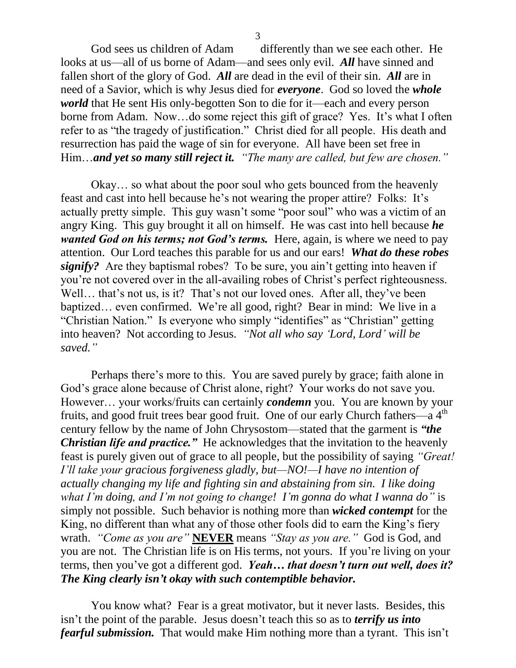God sees us children of Adam differently than we see each other. He looks at us—all of us borne of Adam—and sees only evil. *All* have sinned and fallen short of the glory of God. *All* are dead in the evil of their sin. *All* are in need of a Savior, which is why Jesus died for *everyone*. God so loved the *whole world* that He sent His only-begotten Son to die for it—each and every person borne from Adam. Now…do some reject this gift of grace? Yes. It's what I often refer to as "the tragedy of justification." Christ died for all people. His death and resurrection has paid the wage of sin for everyone. All have been set free in Him…*and yet so many still reject it. "The many are called, but few are chosen."*

Okay… so what about the poor soul who gets bounced from the heavenly feast and cast into hell because he's not wearing the proper attire? Folks: It's actually pretty simple. This guy wasn't some "poor soul" who was a victim of an angry King. This guy brought it all on himself. He was cast into hell because *he wanted God on his terms; not God's terms.* Here, again, is where we need to pay attention. Our Lord teaches this parable for us and our ears! *What do these robes signify?* Are they baptismal robes? To be sure, you ain't getting into heaven if you're not covered over in the all-availing robes of Christ's perfect righteousness. Well... that's not us, is it? That's not our loved ones. After all, they've been baptized… even confirmed. We're all good, right? Bear in mind: We live in a "Christian Nation." Is everyone who simply "identifies" as "Christian" getting into heaven? Not according to Jesus. *"Not all who say 'Lord, Lord' will be saved."* 

Perhaps there's more to this. You are saved purely by grace; faith alone in God's grace alone because of Christ alone, right? Your works do not save you. However… your works/fruits can certainly *condemn* you. You are known by your fruits, and good fruit trees bear good fruit. One of our early Church fathers—a 4<sup>th</sup> century fellow by the name of John Chrysostom—stated that the garment is *"the Christian life and practice.*" He acknowledges that the invitation to the heavenly feast is purely given out of grace to all people, but the possibility of saying *"Great! I'll take your gracious forgiveness gladly, but—NO!—I have no intention of actually changing my life and fighting sin and abstaining from sin. I like doing what I'm doing, and I'm not going to change! I'm gonna do what I wanna do"* is simply not possible. Such behavior is nothing more than *wicked contempt* for the King, no different than what any of those other fools did to earn the King's fiery wrath. *"Come as you are"* **NEVER** means *"Stay as you are."* God is God, and you are not. The Christian life is on His terms, not yours. If you're living on your terms, then you've got a different god. *Yeah… that doesn't turn out well, does it? The King clearly isn't okay with such contemptible behavior.*

You know what? Fear is a great motivator, but it never lasts. Besides, this isn't the point of the parable. Jesus doesn't teach this so as to *terrify us into fearful submission.* That would make Him nothing more than a tyrant. This isn't